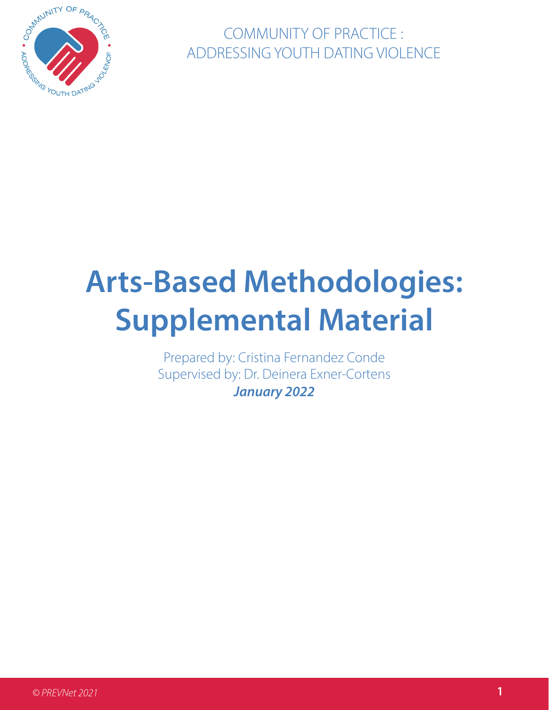

COMMUNITY OF PRACTICE : ADDRESSING YOUTH DATING VIOLENCE

# **Arts-Based Methodologies: Supplemental Material**

Prepared by: Cristina Fernandez Conde Supervised by: Dr. Deinera Exner-Cortens **January** *202***2**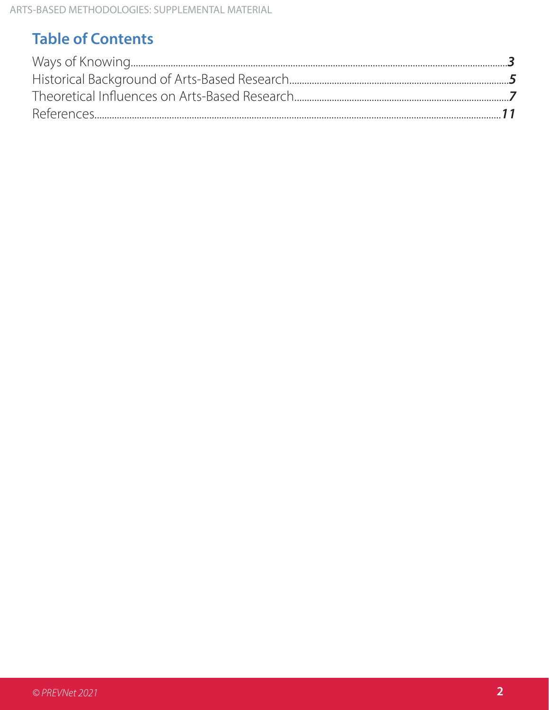## **Table of Contents**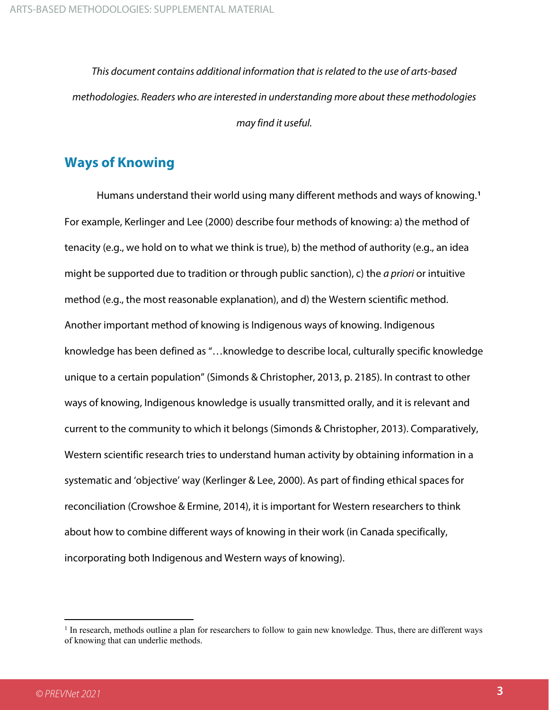*This document contains additional information that is related to the use of arts-based methodologies. Readers who are interested in understanding more about these methodologies may find it useful.* 

### **Ways of Knowing**

Humans understand their world using many different methods and ways of knowing.**[1](#page-2-0)** For example, Kerlinger and Lee (2000) describe four methods of knowing: a) the method of tenacity (e.g., we hold on to what we think is true), b) the method of authority (e.g., an idea might be supported due to tradition or through public sanction), c) the *a priori* or intuitive method (e.g., the most reasonable explanation), and d) the Western scientific method. Another important method of knowing is Indigenous ways of knowing. Indigenous knowledge has been defined as "…knowledge to describe local, culturally specific knowledge unique to a certain population" (Simonds & Christopher, 2013, p. 2185). In contrast to other ways of knowing, Indigenous knowledge is usually transmitted orally, and it is relevant and current to the community to which it belongs (Simonds & Christopher, 2013). Comparatively, Western scientific research tries to understand human activity by obtaining information in a systematic and 'objective' way (Kerlinger & Lee, 2000). As part of finding ethical spaces for reconciliation (Crowshoe & Ermine, 2014), it is important for Western researchers to think about how to combine different ways of knowing in their work (in Canada specifically, incorporating both Indigenous and Western ways of knowing).

<span id="page-2-0"></span> $1$  In research, methods outline a plan for researchers to follow to gain new knowledge. Thus, there are different ways of knowing that can underlie methods.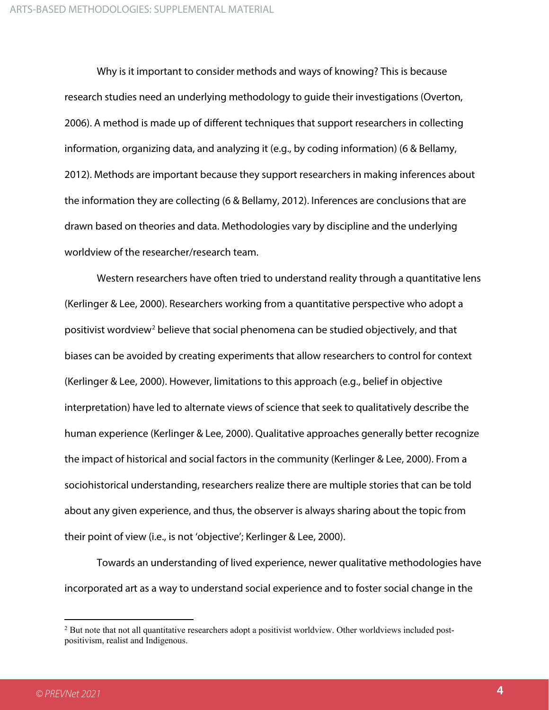Why is it important to consider methods and ways of knowing? This is because research studies need an underlying methodology to guide their investigations (Overton, 2006). A method is made up of different techniques that support researchers in collecting information, organizing data, and analyzing it (e.g., by coding information) (6 & Bellamy, 2012). Methods are important because they support researchers in making inferences about the information they are collecting (6 & Bellamy, 2012). Inferences are conclusions that are drawn based on theories and data. Methodologies vary by discipline and the underlying worldview of the researcher/research team.

Western researchers have often tried to understand reality through a quantitative lens (Kerlinger & Lee, 2000). Researchers working from a quantitative perspective who adopt a positivist wordview[2](#page-3-0) believe that social phenomena can be studied objectively, and that biases can be avoided by creating experiments that allow researchers to control for context (Kerlinger & Lee, 2000). However, limitations to this approach (e.g., belief in objective interpretation) have led to alternate views of science that seek to qualitatively describe the human experience (Kerlinger & Lee, 2000). Qualitative approaches generally better recognize the impact of historical and social factors in the community (Kerlinger & Lee, 2000). From a sociohistorical understanding, researchers realize there are multiple stories that can be told about any given experience, and thus, the observer is always sharing about the topic from their point of view (i.e., is not 'objective'; Kerlinger & Lee, 2000).

Towards an understanding of lived experience, newer qualitative methodologies have incorporated art as a way to understand social experience and to foster social change in the

<span id="page-3-0"></span><sup>&</sup>lt;sup>2</sup> But note that not all quantitative researchers adopt a positivist worldview. Other worldviews included postpositivism, realist and Indigenous.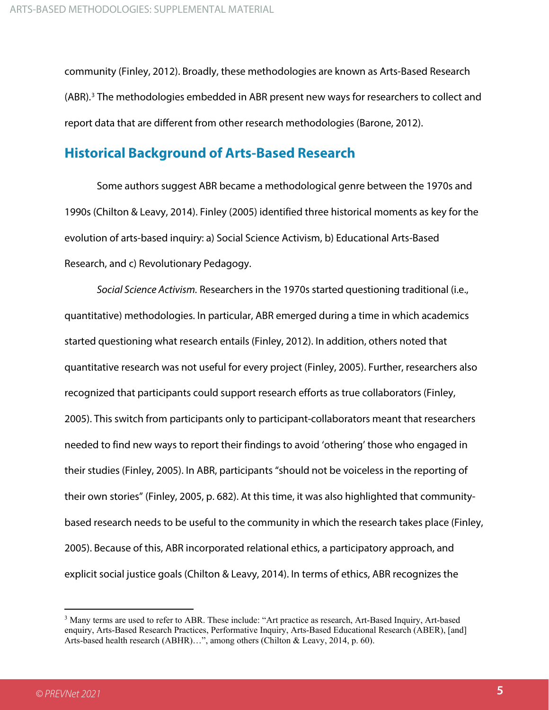community (Finley, 2012). Broadly, these methodologies are known as Arts-Based Research (ABR).<sup>[3](#page-4-0)</sup> The methodologies embedded in ABR present new ways for researchers to collect and report data that are different from other research methodologies (Barone, 2012).

#### **Historical Background of Arts-Based Research**

Some authors suggest ABR became a methodological genre between the 1970s and 1990s (Chilton & Leavy, 2014). Finley (2005) identified three historical moments as key for the evolution of arts-based inquiry: a) Social Science Activism, b) Educational Arts-Based Research, and c) Revolutionary Pedagogy.

*Social Science Activism.* Researchers in the 1970s started questioning traditional (i.e., quantitative) methodologies. In particular, ABR emerged during a time in which academics started questioning what research entails (Finley, 2012). In addition, others noted that quantitative research was not useful for every project (Finley, 2005). Further, researchers also recognized that participants could support research efforts as true collaborators (Finley, 2005). This switch from participants only to participant-collaborators meant that researchers needed to find new ways to report their findings to avoid 'othering' those who engaged in their studies (Finley, 2005). In ABR, participants "should not be voiceless in the reporting of their own stories" (Finley, 2005, p. 682). At this time, it was also highlighted that communitybased research needs to be useful to the community in which the research takes place (Finley, 2005). Because of this, ABR incorporated relational ethics, a participatory approach, and explicit social justice goals (Chilton & Leavy, 2014). In terms of ethics, ABR recognizes the

<span id="page-4-0"></span><sup>3</sup> Many terms are used to refer to ABR. These include: "Art practice as research, Art-Based Inquiry, Art-based enquiry, Arts-Based Research Practices, Performative Inquiry, Arts-Based Educational Research (ABER), [and] Arts-based health research (ABHR)…", among others (Chilton & Leavy, 2014, p. 60).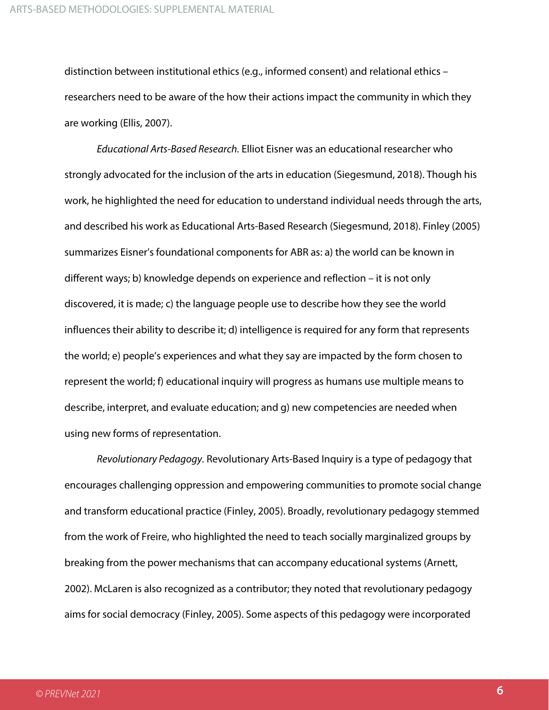distinction between institutional ethics (e.g., informed consent) and relational ethics – researchers need to be aware of the how their actions impact the community in which they are working (Ellis, 2007).

*Educational Arts-Based Research.* Elliot Eisner was an educational researcher who strongly advocated for the inclusion of the arts in education (Siegesmund, 2018). Though his work, he highlighted the need for education to understand individual needs through the arts, and described his work as Educational Arts-Based Research (Siegesmund, 2018). Finley (2005) summarizes Eisner's foundational components for ABR as: a) the world can be known in different ways; b) knowledge depends on experience and reflection – it is not only discovered, it is made; c) the language people use to describe how they see the world influences their ability to describe it; d) intelligence is required for any form that represents the world; e) people's experiences and what they say are impacted by the form chosen to represent the world; f) educational inquiry will progress as humans use multiple means to describe, interpret, and evaluate education; and g) new competencies are needed when using new forms of representation.

*Revolutionary Pedagogy.* Revolutionary Arts-Based Inquiry is a type of pedagogy that encourages challenging oppression and empowering communities to promote social change and transform educational practice (Finley, 2005). Broadly, revolutionary pedagogy stemmed from the work of Freire, who highlighted the need to teach socially marginalized groups by breaking from the power mechanisms that can accompany educational systems (Arnett, 2002). McLaren is also recognized as a contributor; they noted that revolutionary pedagogy aims for social democracy (Finley, 2005). Some aspects of this pedagogy were incorporated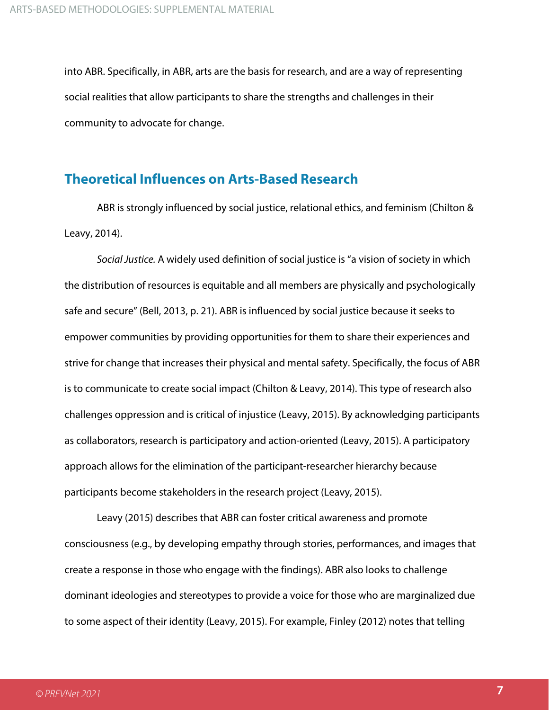into ABR. Specifically, in ABR, arts are the basis for research, and are a way of representing social realities that allow participants to share the strengths and challenges in their community to advocate for change.

#### **Theoretical Influences on Arts-Based Research**

ABR is strongly influenced by social justice, relational ethics, and feminism (Chilton & Leavy, 2014).

*Social Justice.* A widely used definition of social justice is "a vision of society in which the distribution of resources is equitable and all members are physically and psychologically safe and secure" (Bell, 2013, p. 21). ABR is influenced by social justice because it seeks to empower communities by providing opportunities for them to share their experiences and strive for change that increases their physical and mental safety. Specifically, the focus of ABR is to communicate to create social impact (Chilton & Leavy, 2014). This type of research also challenges oppression and is critical of injustice (Leavy, 2015). By acknowledging participants as collaborators, research is participatory and action-oriented (Leavy, 2015). A participatory approach allows for the elimination of the participant-researcher hierarchy because participants become stakeholders in the research project (Leavy, 2015).

Leavy (2015) describes that ABR can foster critical awareness and promote consciousness (e.g., by developing empathy through stories, performances, and images that create a response in those who engage with the findings). ABR also looks to challenge dominant ideologies and stereotypes to provide a voice for those who are marginalized due to some aspect of their identity (Leavy, 2015). For example, Finley (2012) notes that telling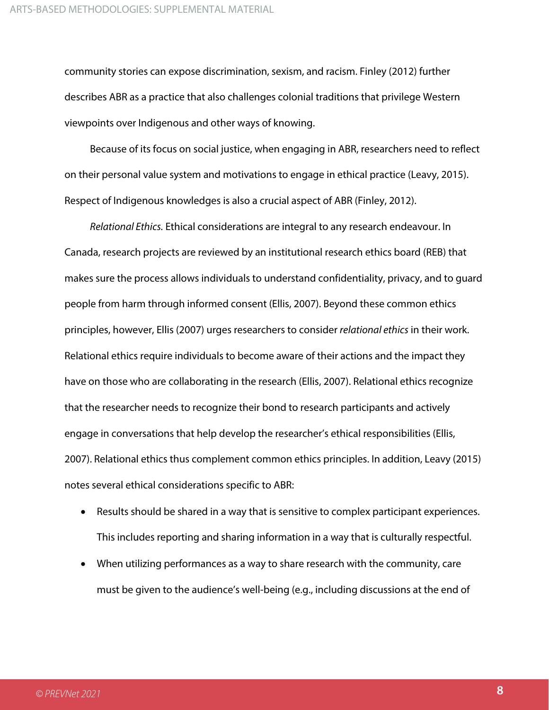community stories can expose discrimination, sexism, and racism. Finley (2012) further describes ABR as a practice that also challenges colonial traditions that privilege Western viewpoints over Indigenous and other ways of knowing.

Because of its focus on social justice, when engaging in ABR, researchers need to reflect on their personal value system and motivations to engage in ethical practice (Leavy, 2015). Respect of Indigenous knowledges is also a crucial aspect of ABR (Finley, 2012).

*Relational Ethics.* Ethical considerations are integral to any research endeavour. In Canada, research projects are reviewed by an institutional research ethics board (REB) that makes sure the process allows individuals to understand confidentiality, privacy, and to guard people from harm through informed consent (Ellis, 2007). Beyond these common ethics principles, however, Ellis (2007) urges researchers to consider *relational ethics* in their work. Relational ethics require individuals to become aware of their actions and the impact they have on those who are collaborating in the research (Ellis, 2007). Relational ethics recognize that the researcher needs to recognize their bond to research participants and actively engage in conversations that help develop the researcher's ethical responsibilities (Ellis, 2007). Relational ethics thus complement common ethics principles. In addition, Leavy (2015) notes several ethical considerations specific to ABR:

- Results should be shared in a way that is sensitive to complex participant experiences. This includes reporting and sharing information in a way that is culturally respectful.
- When utilizing performances as a way to share research with the community, care must be given to the audience's well-being (e.g., including discussions at the end of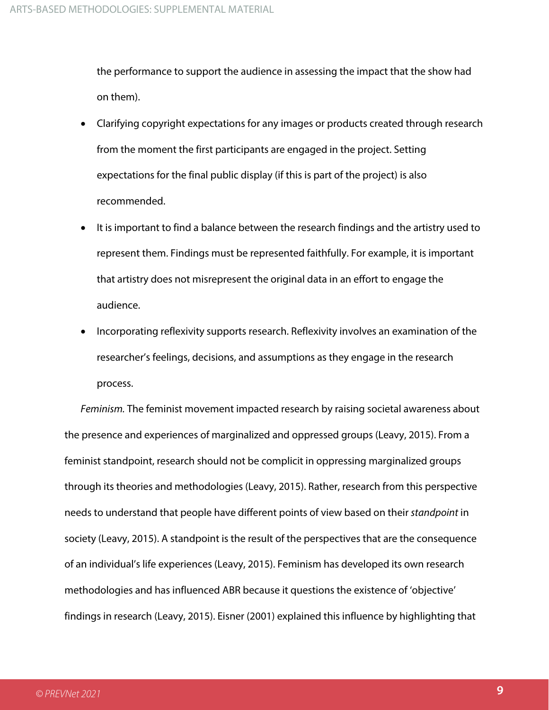the performance to support the audience in assessing the impact that the show had on them).

- Clarifying copyright expectations for any images or products created through research from the moment the first participants are engaged in the project. Setting expectations for the final public display (if this is part of the project) is also recommended.
- It is important to find a balance between the research findings and the artistry used to represent them. Findings must be represented faithfully. For example, it is important that artistry does not misrepresent the original data in an effort to engage the audience.
- Incorporating reflexivity supports research. Reflexivity involves an examination of the researcher's feelings, decisions, and assumptions as they engage in the research process.

*Feminism.* The feminist movement impacted research by raising societal awareness about the presence and experiences of marginalized and oppressed groups (Leavy, 2015). From a feminist standpoint, research should not be complicit in oppressing marginalized groups through its theories and methodologies (Leavy, 2015). Rather, research from this perspective needs to understand that people have different points of view based on their *standpoint* in society (Leavy, 2015). A standpoint is the result of the perspectives that are the consequence of an individual's life experiences (Leavy, 2015). Feminism has developed its own research methodologies and has influenced ABR because it questions the existence of 'objective' findings in research (Leavy, 2015). Eisner (2001) explained this influence by highlighting that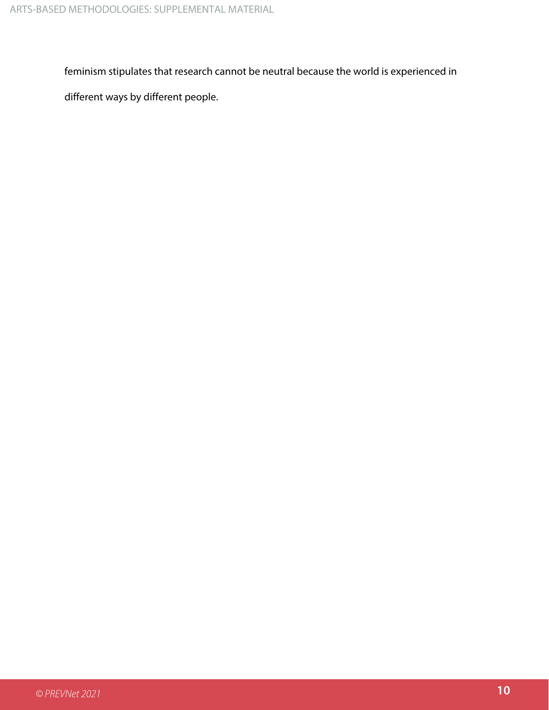feminism stipulates that research cannot be neutral because the world is experienced in

different ways by different people.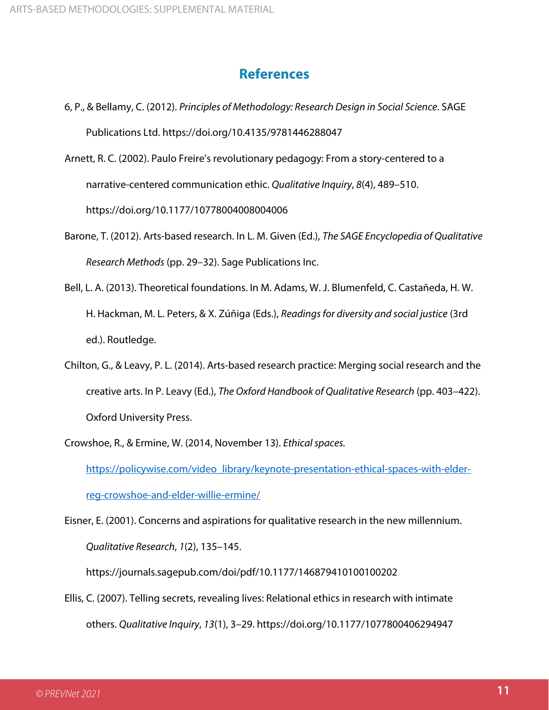#### **References**

- 6, P., & Bellamy, C. (2012). *Principles of Methodology: Research Design in Social Science*. SAGE Publications Ltd. https://doi.org/10.4135/9781446288047
- Arnett, R. C. (2002). Paulo Freire's revolutionary pedagogy: From a story-centered to a narrative-centered communication ethic. *Qualitative Inquiry*, *8*(4), 489–510. https://doi.org/10.1177/10778004008004006
- Barone, T. (2012). Arts-based research. In L. M. Given (Ed.), *The SAGE Encyclopedia of Qualitative Research Methods* (pp. 29–32). Sage Publications Inc.
- Bell, L. A. (2013). Theoretical foundations. In M. Adams, W. J. Blumenfeld, C. Castañeda, H. W. H. Hackman, M. L. Peters, & X. Zúñiga (Eds.), *Readings for diversity and social justice* (3rd ed.). Routledge.
- Chilton, G., & Leavy, P. L. (2014). Arts-based research practice: Merging social research and the creative arts. In P. Leavy (Ed.), *The Oxford Handbook of Qualitative Research* (pp. 403–422). Oxford University Press.

Crowshoe, R., & Ermine, W. (2014, November 13). *Ethical spaces.* 

[https://policywise.com/video\\_library/keynote-presentation-ethical-spaces-with-elder](https://policywise.com/video_library/keynote-presentation-ethical-spaces-with-elder-reg-crowshoe-and-elder-willie-ermine/)[reg-crowshoe-and-elder-willie-ermine/](https://policywise.com/video_library/keynote-presentation-ethical-spaces-with-elder-reg-crowshoe-and-elder-willie-ermine/) 

Eisner, E. (2001). Concerns and aspirations for qualitative research in the new millennium. *Qualitative Research*, *1*(2), 135–145.

https://journals.sagepub.com/doi/pdf/10.1177/146879410100100202

Ellis, C. (2007). Telling secrets, revealing lives: Relational ethics in research with intimate others. *Qualitative Inquiry*, *13*(1), 3–29. https://doi.org/10.1177/1077800406294947